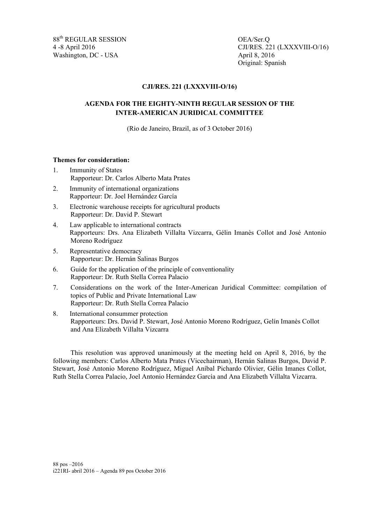88<sup>th</sup> REGULAR SESSION OEA/Ser.O Washington, DC - USA April 8, 2016

4 -8 April 2016 CJI/RES. 221 (LXXXVIII-O/16) Original: Spanish

## **CJI/RES. 221 (LXXXVIII-O/16)**

## **AGENDA FOR THE EIGHTY-NINTH REGULAR SESSION OF THE INTER-AMERICAN JURIDICAL COMMITTEE**

(Rio de Janeiro, Brazil, as of 3 October 2016)

## **Themes for consideration:**

- 1. Immunity of States Rapporteur: Dr. Carlos Alberto Mata Prates
- 2. Immunity of international organizations Rapporteur: Dr. Joel Hernández García
- 3. Electronic warehouse receipts for agricultural products Rapporteur: Dr. David P. Stewart
- 4. Law applicable to international contracts Rapporteurs: Drs. Ana Elizabeth Villalta Vizcarra, Gélin Imanès Collot and José Antonio Moreno Rodríguez
- 5. Representative democracy Rapporteur: Dr. Hernán Salinas Burgos
- 6. Guide for the application of the principle of conventionality Rapporteur: Dr. Ruth Stella Correa Palacio
- 7. Considerations on the work of the Inter-American Juridical Committee: compilation of topics of Public and Private International Law Rapporteur: Dr. Ruth Stella Correa Palacio
- 8. International consummer protection Rapporteurs: Drs. David P. Stewart, José Antonio Moreno Rodríguez, Gelín Imanès Collot and Ana Elizabeth Villalta Vizcarra

This resolution was approved unanimously at the meeting held on April 8, 2016, by the following members: Carlos Alberto Mata Prates (Vicechairman), Hernán Salinas Burgos, David P. Stewart, José Antonio Moreno Rodríguez, Miguel Aníbal Pichardo Olivier, Gélin Imanes Collot, Ruth Stella Correa Palacio, Joel Antonio Hernández García and Ana Elizabeth Villalta Vizcarra.